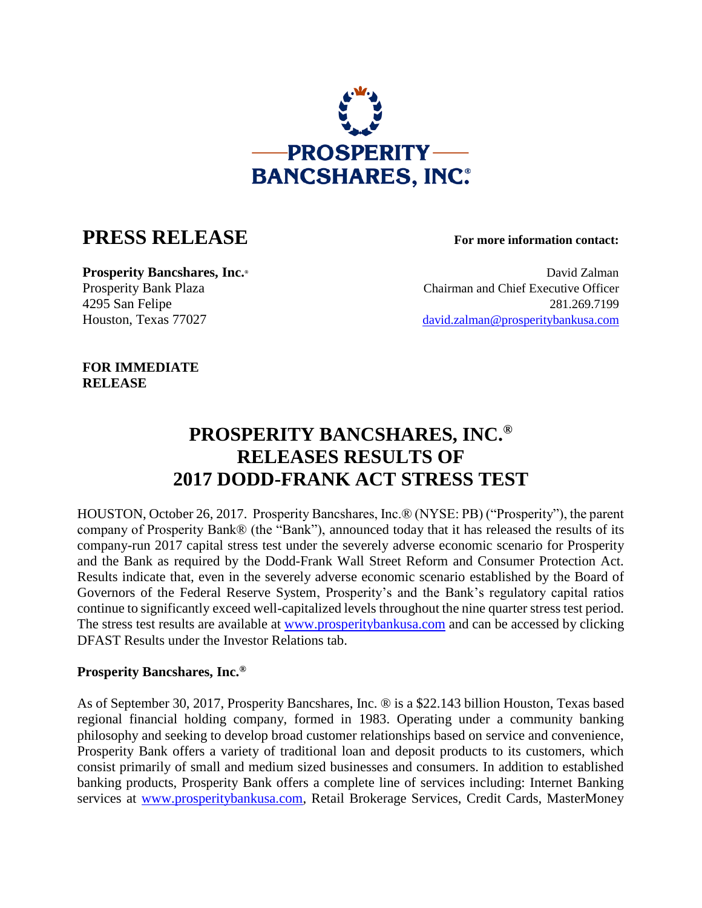

## **PRESS RELEASE For more information contact:**

**Prosperity Bancshares, Inc.**  $\bullet$  **David Zalman** Prosperity Bank Plaza Chairman and Chief Executive Officer 4295 San Felipe 281.269.7199 Houston, Texas 77027 [david.zalman@prosperitybankusa.com](mailto:david.zalman@prosperitybankusa.com)

**FOR IMMEDIATE RELEASE**

## **PROSPERITY BANCSHARES, INC.® RELEASES RESULTS OF 2017 DODD-FRANK ACT STRESS TEST**

HOUSTON, October 26, 2017. Prosperity Bancshares, Inc.® (NYSE: PB) ("Prosperity"), the parent company of Prosperity Bank® (the "Bank"), announced today that it has released the results of its company-run 2017 capital stress test under the severely adverse economic scenario for Prosperity and the Bank as required by the Dodd-Frank Wall Street Reform and Consumer Protection Act. Results indicate that, even in the severely adverse economic scenario established by the Board of Governors of the Federal Reserve System, Prosperity's and the Bank's regulatory capital ratios continue to significantly exceed well-capitalized levels throughout the nine quarter stress test period. The stress test results are available at [www.prosperitybankusa.com](http://www.prosperitybankusa.com/) and can be accessed by clicking DFAST Results under the Investor Relations tab.

## **Prosperity Bancshares, Inc.®**

As of September 30, 2017, Prosperity Bancshares, Inc. ® is a \$22.143 billion Houston, Texas based regional financial holding company, formed in 1983. Operating under a community banking philosophy and seeking to develop broad customer relationships based on service and convenience, Prosperity Bank offers a variety of traditional loan and deposit products to its customers, which consist primarily of small and medium sized businesses and consumers. In addition to established banking products, Prosperity Bank offers a complete line of services including: Internet Banking services at [www.prosperitybankusa.com,](www.prosperitybankusa.com) Retail Brokerage Services, Credit Cards, MasterMoney